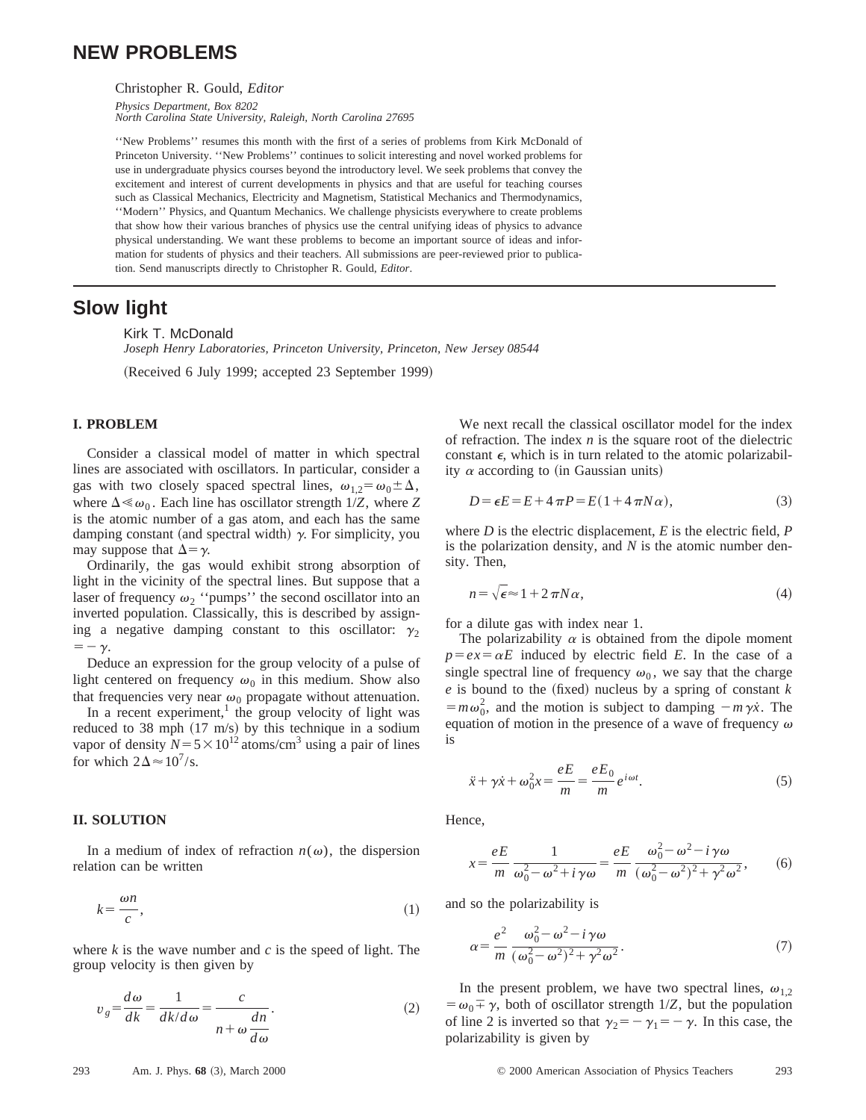# **NEW PROBLEMS**

Christopher R. Gould, *Editor*

*Physics Department, Box 8202 North Carolina State University, Raleigh, North Carolina 27695*

''New Problems'' resumes this month with the first of a series of problems from Kirk McDonald of Princeton University. ''New Problems'' continues to solicit interesting and novel worked problems for use in undergraduate physics courses beyond the introductory level. We seek problems that convey the excitement and interest of current developments in physics and that are useful for teaching courses such as Classical Mechanics, Electricity and Magnetism, Statistical Mechanics and Thermodynamics, ''Modern'' Physics, and Quantum Mechanics. We challenge physicists everywhere to create problems that show how their various branches of physics use the central unifying ideas of physics to advance physical understanding. We want these problems to become an important source of ideas and information for students of physics and their teachers. All submissions are peer-reviewed prior to publication. Send manuscripts directly to Christopher R. Gould, *Editor*.

# **Slow light**

Kirk T. McDonald

*Joseph Henry Laboratories, Princeton University, Princeton, New Jersey 08544*

(Received 6 July 1999; accepted 23 September 1999)

### **I. PROBLEM**

Consider a classical model of matter in which spectral lines are associated with oscillators. In particular, consider a gas with two closely spaced spectral lines,  $\omega_{1,2} = \omega_0 \pm \Delta$ , where  $\Delta \ll \omega_0$ . Each line has oscillator strength 1/*Z*, where *Z* is the atomic number of a gas atom, and each has the same damping constant (and spectral width)  $\gamma$ . For simplicity, you may suppose that  $\Delta = \gamma$ .

Ordinarily, the gas would exhibit strong absorption of light in the vicinity of the spectral lines. But suppose that a laser of frequency  $\omega_2$  "pumps" the second oscillator into an inverted population. Classically, this is described by assigning a negative damping constant to this oscillator:  $\gamma_2$  $=-\gamma$ .

Deduce an expression for the group velocity of a pulse of light centered on frequency  $\omega_0$  in this medium. Show also that frequencies very near  $\omega_0$  propagate without attenuation.

In a recent experiment,<sup>1</sup> the group velocity of light was reduced to 38 mph  $(17 \text{ m/s})$  by this technique in a sodium vapor of density  $N=5\times10^{12}$  atoms/cm<sup>3</sup> using a pair of lines for which  $2\Delta \approx 10^7$ /s.

### **II. SOLUTION**

In a medium of index of refraction  $n(\omega)$ , the dispersion relation can be written

$$
k = \frac{\omega n}{c},\tag{1}
$$

where *k* is the wave number and *c* is the speed of light. The group velocity is then given by

$$
v_g = \frac{d\omega}{dk} = \frac{1}{dk/d\omega} = \frac{c}{n + \omega} \frac{dn}{d\omega}.
$$
 (2)

We next recall the classical oscillator model for the index of refraction. The index *n* is the square root of the dielectric constant  $\epsilon$ , which is in turn related to the atomic polarizability  $\alpha$  according to (in Gaussian units)

$$
D = \epsilon E = E + 4\pi P = E(1 + 4\pi N\alpha),\tag{3}
$$

where *D* is the electric displacement, *E* is the electric field, *P* is the polarization density, and *N* is the atomic number density. Then,

$$
n = \sqrt{\epsilon} \approx 1 + 2\pi N \alpha, \tag{4}
$$

for a dilute gas with index near 1.

The polarizability  $\alpha$  is obtained from the dipole moment  $p = e x = \alpha E$  induced by electric field *E*. In the case of a single spectral line of frequency  $\omega_0$ , we say that the charge  $e$  is bound to the (fixed) nucleus by a spring of constant  $k$  $= m \omega_0^2$ , and the motion is subject to damping  $- m \gamma \dot{x}$ . The equation of motion in the presence of a wave of frequency  $\omega$ is

$$
\ddot{x} + \gamma \dot{x} + \omega_0^2 x = \frac{eE}{m} = \frac{eE_0}{m} e^{i\omega t}.
$$
 (5)

Hence,

$$
x = \frac{eE}{m} \frac{1}{\omega_0^2 - \omega^2 + i\gamma\omega} = \frac{eE}{m} \frac{\omega_0^2 - \omega^2 - i\gamma\omega}{(\omega_0^2 - \omega^2)^2 + \gamma^2\omega^2},\qquad(6)
$$

and so the polarizability is

$$
\alpha = \frac{e^2}{m} \frac{\omega_0^2 - \omega^2 - i\gamma\omega}{(\omega_0^2 - \omega^2)^2 + \gamma^2\omega^2}.
$$
\n(7)

In the present problem, we have two spectral lines,  $\omega_{1,2}$  $= \omega_0 \pm \gamma$ , both of oscillator strength 1/*Z*, but the population of line 2 is inverted so that  $\gamma_2 = -\gamma_1 = -\gamma$ . In this case, the polarizability is given by